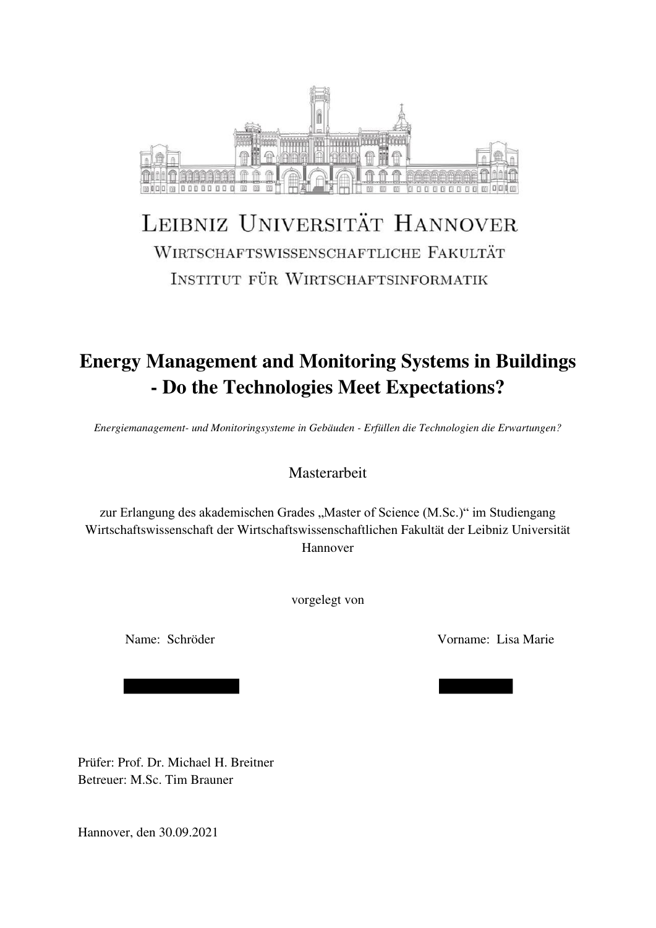

# LEIBNIZ UNIVERSITÄT HANNOVER WIRTSCHAFTSWISSENSCHAFTLICHE FAKULTÄT INSTITUT FÜR WIRTSCHAFTSINFORMATIK

## **Energy Management and Monitoring Systems in Buildings - Do the Technologies Meet Expectations?**

*Energiemanagement- und Monitoringsysteme in Gebäuden - Erfüllen die Technologien die Erwartungen?* 

Masterarbeit

zur Erlangung des akademischen Grades "Master of Science (M.Sc.)" im Studiengang Wirtschaftswissenschaft der Wirtschaftswissenschaftlichen Fakultät der Leibniz Universität Hannover

vorgelegt von

Name: Schröder Vorname: Lisa Marie

Prüfer: Prof. Dr. Michael H. Breitner Betreuer: M.Sc. Tim Brauner

Hannover, den 30.09.2021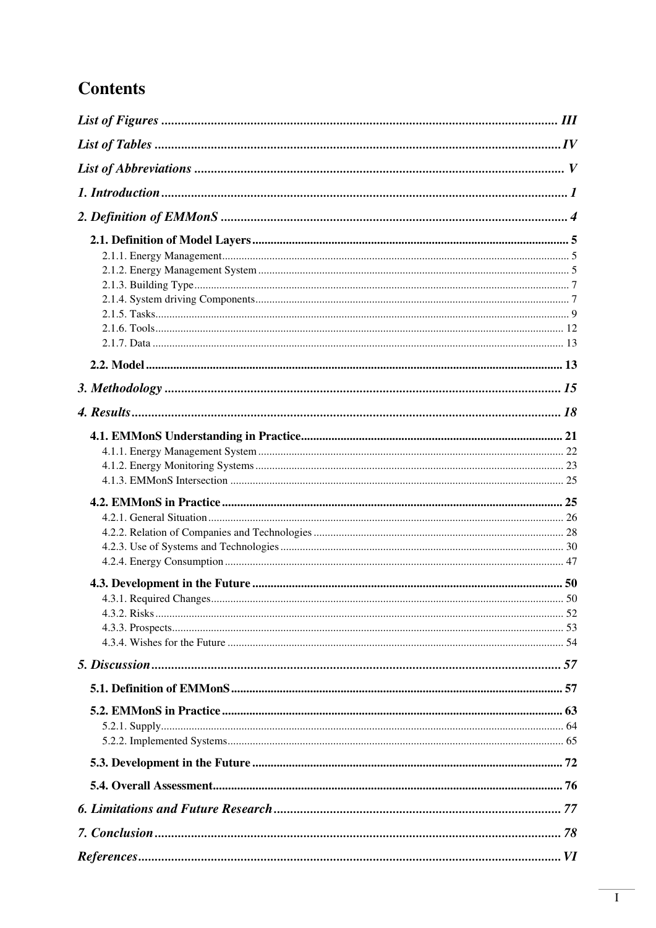## **Contents**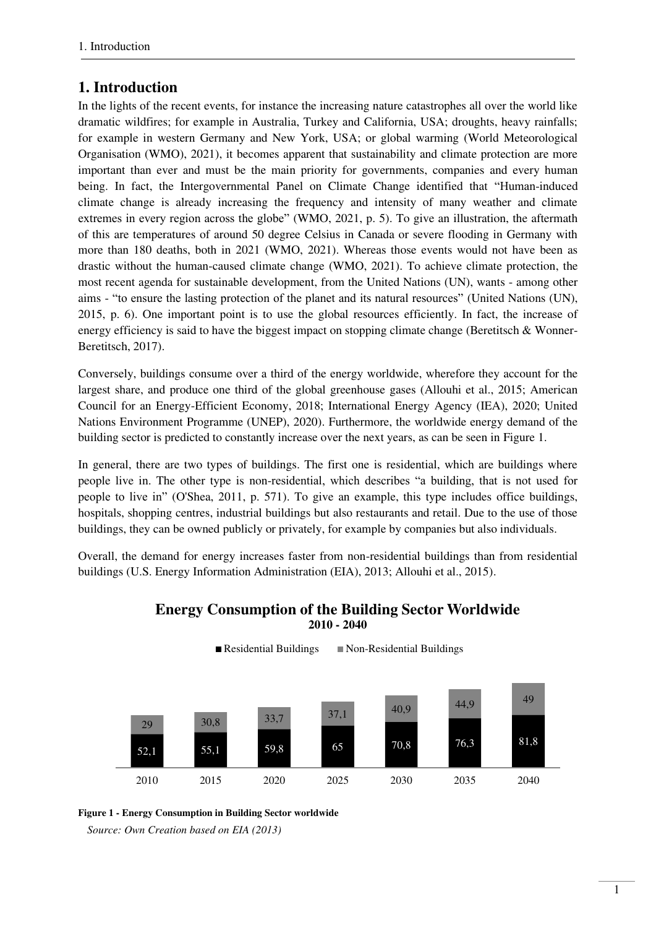### <span id="page-3-0"></span>**1. Introduction**

In the lights of the recent events, for instance the increasing nature catastrophes all over the world like dramatic wildfires; for example in Australia, Turkey and California, USA; droughts, heavy rainfalls; for example in western Germany and New York, USA; or global warming (World Meteorological Organisation (WMO), 2021), it becomes apparent that sustainability and climate protection are more important than ever and must be the main priority for governments, companies and every human being. In fact, the Intergovernmental Panel on Climate Change identified that "Human-induced climate change is already increasing the frequency and intensity of many weather and climate extremes in every region across the globe" (WMO, 2021, p. 5). To give an illustration, the aftermath of this are temperatures of around 50 degree Celsius in Canada or severe flooding in Germany with more than 180 deaths, both in 2021 (WMO, 2021). Whereas those events would not have been as drastic without the human-caused climate change (WMO, 2021). To achieve climate protection, the most recent agenda for sustainable development, from the United Nations (UN), wants - among other aims - "to ensure the lasting protection of the planet and its natural resources" (United Nations (UN), 2015, p. 6). One important point is to use the global resources efficiently. In fact, the increase of energy efficiency is said to have the biggest impact on stopping climate change (Beretitsch & Wonner-Beretitsch, 2017).

Conversely, buildings consume over a third of the energy worldwide, wherefore they account for the largest share, and produce one third of the global greenhouse gases (Allouhi et al., 2015; American Council for an Energy-Efficient Economy, 2018; International Energy Agency (IEA), 2020; United Nations Environment Programme (UNEP), 2020). Furthermore, the worldwide energy demand of the building sector is predicted to constantly increase over the next years, as can be seen in [Figure 1.](#page-3-1)

In general, there are two types of buildings. The first one is residential, which are buildings where people live in. The other type is non-residential, which describes "a building, that is not used for people to live in" (O'Shea, 2011, p. 571). To give an example, this type includes office buildings, hospitals, shopping centres, industrial buildings but also restaurants and retail. Due to the use of those buildings, they can be owned publicly or privately, for example by companies but also individuals.

Overall, the demand for energy increases faster from non-residential buildings than from residential buildings (U.S. Energy Information Administration (EIA), 2013; Allouhi et al., 2015).

#### **Energy Consumption of the Building Sector Worldwide 2010 - 2040**



<span id="page-3-1"></span>

*Source: Own Creation based on EIA (2013)*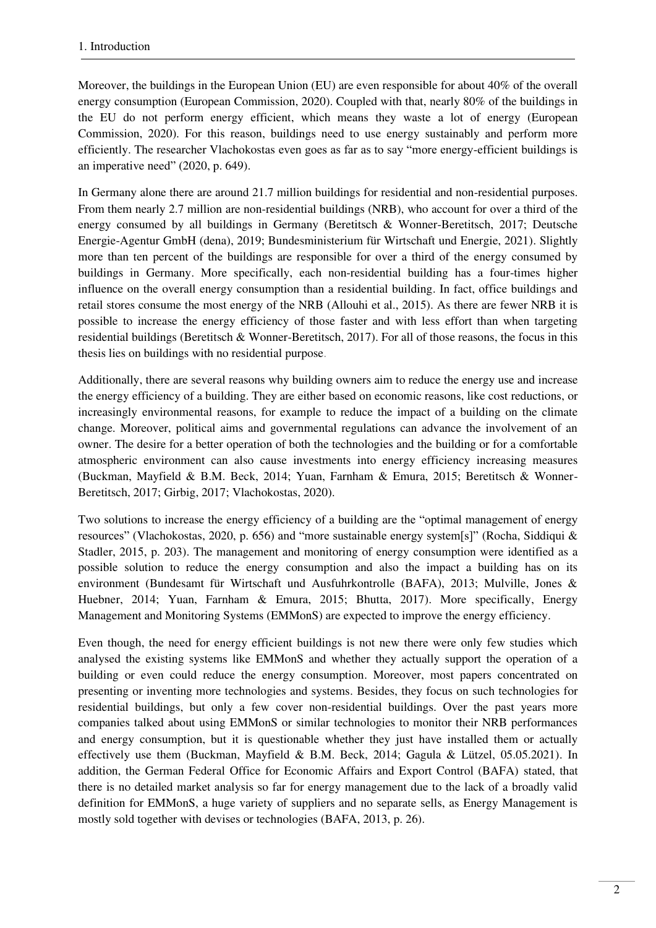Moreover, the buildings in the European Union (EU) are even responsible for about 40% of the overall energy consumption (European Commission, 2020). Coupled with that, nearly 80% of the buildings in the EU do not perform energy efficient, which means they waste a lot of energy (European Commission, 2020). For this reason, buildings need to use energy sustainably and perform more efficiently. The researcher Vlachokostas even goes as far as to say "more energy-efficient buildings is an imperative need" (2020, p. 649).

In Germany alone there are around 21.7 million buildings for residential and non-residential purposes. From them nearly 2.7 million are non-residential buildings (NRB), who account for over a third of the energy consumed by all buildings in Germany (Beretitsch & Wonner-Beretitsch, 2017; Deutsche Energie-Agentur GmbH (dena), 2019; Bundesministerium für Wirtschaft und Energie, 2021). Slightly more than ten percent of the buildings are responsible for over a third of the energy consumed by buildings in Germany. More specifically, each non-residential building has a four-times higher influence on the overall energy consumption than a residential building. In fact, office buildings and retail stores consume the most energy of the NRB (Allouhi et al., 2015). As there are fewer NRB it is possible to increase the energy efficiency of those faster and with less effort than when targeting residential buildings (Beretitsch & Wonner-Beretitsch, 2017). For all of those reasons, the focus in this thesis lies on buildings with no residential purpose.

Additionally, there are several reasons why building owners aim to reduce the energy use and increase the energy efficiency of a building. They are either based on economic reasons, like cost reductions, or increasingly environmental reasons, for example to reduce the impact of a building on the climate change. Moreover, political aims and governmental regulations can advance the involvement of an owner. The desire for a better operation of both the technologies and the building or for a comfortable atmospheric environment can also cause investments into energy efficiency increasing measures (Buckman, Mayfield & B.M. Beck, 2014; Yuan, Farnham & Emura, 2015; Beretitsch & Wonner-Beretitsch, 2017; Girbig, 2017; Vlachokostas, 2020).

Two solutions to increase the energy efficiency of a building are the "optimal management of energy resources" (Vlachokostas, 2020, p. 656) and "more sustainable energy system[s]" (Rocha, Siddiqui & Stadler, 2015, p. 203). The management and monitoring of energy consumption were identified as a possible solution to reduce the energy consumption and also the impact a building has on its environment (Bundesamt für Wirtschaft und Ausfuhrkontrolle (BAFA), 2013; Mulville, Jones & Huebner, 2014; Yuan, Farnham & Emura, 2015; Bhutta, 2017). More specifically, Energy Management and Monitoring Systems (EMMonS) are expected to improve the energy efficiency.

Even though, the need for energy efficient buildings is not new there were only few studies which analysed the existing systems like EMMonS and whether they actually support the operation of a building or even could reduce the energy consumption. Moreover, most papers concentrated on presenting or inventing more technologies and systems. Besides, they focus on such technologies for residential buildings, but only a few cover non-residential buildings. Over the past years more companies talked about using EMMonS or similar technologies to monitor their NRB performances and energy consumption, but it is questionable whether they just have installed them or actually effectively use them (Buckman, Mayfield & B.M. Beck, 2014; Gagula & Lützel, 05.05.2021). In addition, the German Federal Office for Economic Affairs and Export Control (BAFA) stated, that there is no detailed market analysis so far for energy management due to the lack of a broadly valid definition for EMMonS, a huge variety of suppliers and no separate sells, as Energy Management is mostly sold together with devises or technologies (BAFA, 2013, p. 26).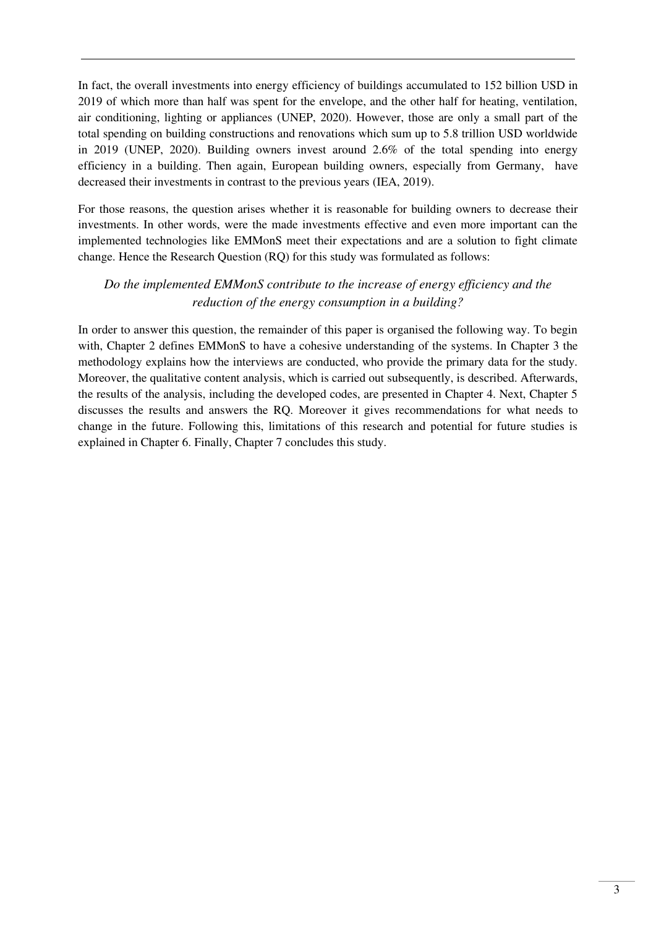In fact, the overall investments into energy efficiency of buildings accumulated to 152 billion USD in 2019 of which more than half was spent for the envelope, and the other half for heating, ventilation, air conditioning, lighting or appliances (UNEP, 2020). However, those are only a small part of the total spending on building constructions and renovations which sum up to 5.8 trillion USD worldwide in 2019 (UNEP, 2020). Building owners invest around 2.6% of the total spending into energy efficiency in a building. Then again, European building owners, especially from Germany, have decreased their investments in contrast to the previous years (IEA, 2019).

For those reasons, the question arises whether it is reasonable for building owners to decrease their investments. In other words, were the made investments effective and even more important can the implemented technologies like EMMonS meet their expectations and are a solution to fight climate change. Hence the Research Question (RQ) for this study was formulated as follows:

#### *Do the implemented EMMonS contribute to the increase of energy efficiency and the reduction of the energy consumption in a building?*

In order to answer this question, the remainder of this paper is organised the following way. To begin with, Chapter 2 defines EMMonS to have a cohesive understanding of the systems. In Chapter 3 the methodology explains how the interviews are conducted, who provide the primary data for the study. Moreover, the qualitative content analysis, which is carried out subsequently, is described. Afterwards, the results of the analysis, including the developed codes, are presented in Chapter 4. Next, Chapter 5 discusses the results and answers the RQ. Moreover it gives recommendations for what needs to change in the future. Following this, limitations of this research and potential for future studies is explained in Chapter 6. Finally, Chapter 7 concludes this study.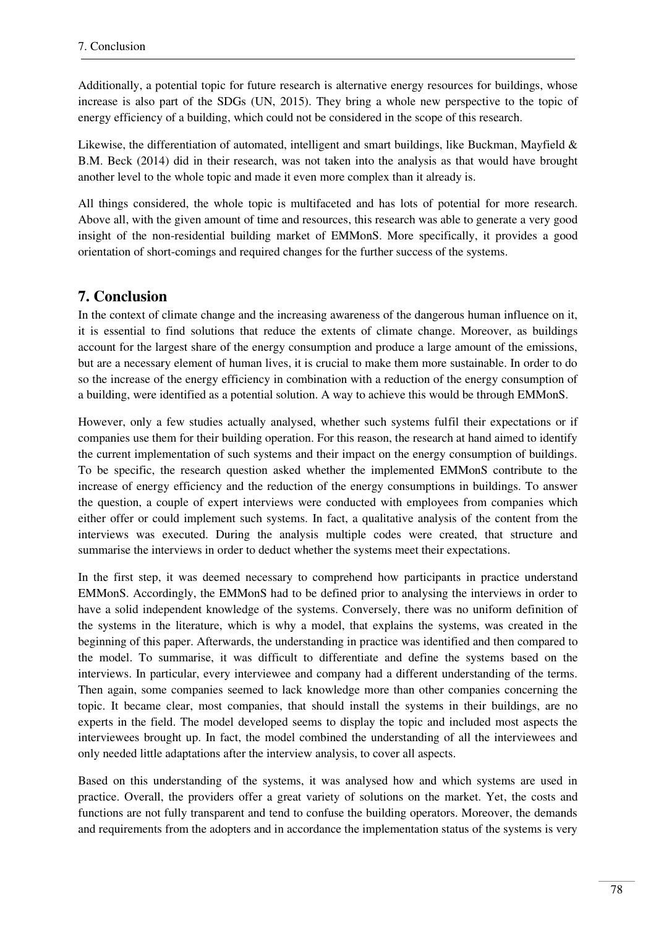Additionally, a potential topic for future research is alternative energy resources for buildings, whose increase is also part of the SDGs (UN, 2015). They bring a whole new perspective to the topic of energy efficiency of a building, which could not be considered in the scope of this research.

Likewise, the differentiation of automated, intelligent and smart buildings, like Buckman, Mayfield  $\&$ B.M. Beck (2014) did in their research, was not taken into the analysis as that would have brought another level to the whole topic and made it even more complex than it already is.

All things considered, the whole topic is multifaceted and has lots of potential for more research. Above all, with the given amount of time and resources, this research was able to generate a very good insight of the non-residential building market of EMMonS. More specifically, it provides a good orientation of short-comings and required changes for the further success of the systems.

### <span id="page-6-0"></span>**7. Conclusion**

In the context of climate change and the increasing awareness of the dangerous human influence on it, it is essential to find solutions that reduce the extents of climate change. Moreover, as buildings account for the largest share of the energy consumption and produce a large amount of the emissions, but are a necessary element of human lives, it is crucial to make them more sustainable. In order to do so the increase of the energy efficiency in combination with a reduction of the energy consumption of a building, were identified as a potential solution. A way to achieve this would be through EMMonS.

However, only a few studies actually analysed, whether such systems fulfil their expectations or if companies use them for their building operation. For this reason, the research at hand aimed to identify the current implementation of such systems and their impact on the energy consumption of buildings. To be specific, the research question asked whether the implemented EMMonS contribute to the increase of energy efficiency and the reduction of the energy consumptions in buildings. To answer the question, a couple of expert interviews were conducted with employees from companies which either offer or could implement such systems. In fact, a qualitative analysis of the content from the interviews was executed. During the analysis multiple codes were created, that structure and summarise the interviews in order to deduct whether the systems meet their expectations.

In the first step, it was deemed necessary to comprehend how participants in practice understand EMMonS. Accordingly, the EMMonS had to be defined prior to analysing the interviews in order to have a solid independent knowledge of the systems. Conversely, there was no uniform definition of the systems in the literature, which is why a model, that explains the systems, was created in the beginning of this paper. Afterwards, the understanding in practice was identified and then compared to the model. To summarise, it was difficult to differentiate and define the systems based on the interviews. In particular, every interviewee and company had a different understanding of the terms. Then again, some companies seemed to lack knowledge more than other companies concerning the topic. It became clear, most companies, that should install the systems in their buildings, are no experts in the field. The model developed seems to display the topic and included most aspects the interviewees brought up. In fact, the model combined the understanding of all the interviewees and only needed little adaptations after the interview analysis, to cover all aspects.

Based on this understanding of the systems, it was analysed how and which systems are used in practice. Overall, the providers offer a great variety of solutions on the market. Yet, the costs and functions are not fully transparent and tend to confuse the building operators. Moreover, the demands and requirements from the adopters and in accordance the implementation status of the systems is very